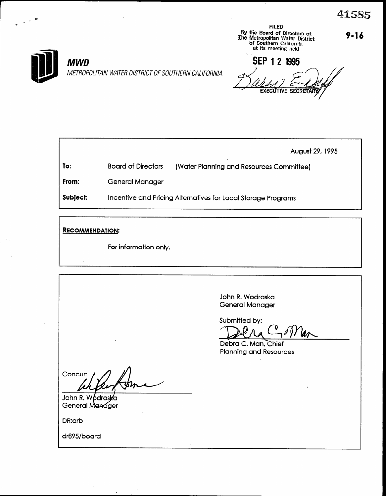$9 - 16$ 

METROPOLITAN WATER DISTRICT OF SOUTHERN CALIFORNIA

**By the Board of Directors of**<br> **The Metropolitan Water District**<br>
of Southern California<br>
at its meeting held SEP 1 2 1995

**FILED** 

August 29, 1995

To: **Board of Directors** 

**MWD** 

(Water Planning and Resources Committee)

From: **General Manager** 

Subject: Incentive and Pricing Alternatives for Local Storage Programs

**RECOMMENDATION:** 

For information only.

John R. Wodraska **General Manager** 

Submitted by:

Debra C. Man, Chief **Planning and Resources** 

Concur:

John R. W bdra: General Manager

DR:arb

dr895/board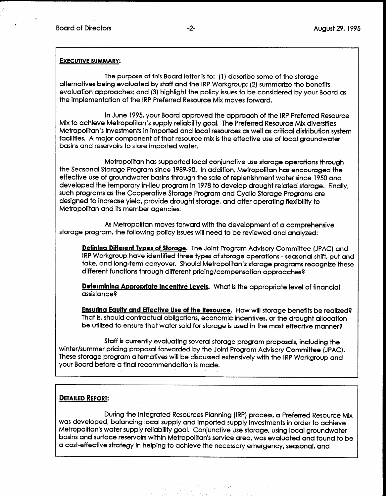,

#### EXECUTIVE SUMMARY:

The purpose of this Board letter is to: (1) describe some of the storage alternatives being evaluated by staff and the IRP Workgroup: (2) summarize the benefits evaluation approaches; and (3) highlight the policy issues to be considered by your Board as the implementation of the IRP Preferred Resource Mix moves forward.

In June 1995, your Board approved the approach of the IRP Preferred Resource Mix to achieve Metropolitan's supply reliability goal. The Preferred Resource Mix diversifies Metropolitan's investments in imported and local resources as well as critical distribution system facilities. A major component of that resource mix is the effective use of local groundwater basins and reservoirs to store imported water.

Metropolitan has supported local conjunctive use storage operations through the Seasonal Storage Program since 1989-90. In addition, Metropolitan has encouraged the effective use of groundwater basins through the sale of replenishment water since 1950 and developed the temporary in-lieu program in 1978 to develop drought related storage. Finally, such programs as the Cooperative Storage Program and Cyclic Storage Programs are designed to increase yield, provide drought storage, and offer operating flexibility to Metropolitan and its member agencies.

As Metropolitan moves forward with the development of a comprehensive storage program, the following policy issues will need to be reviewed and analyzed:

Defining Different Types of Storage. The Joint Program Advisory Committee (JPAC) and IRP Workgroup have identified three types of storage operations - seasonal shift, put and take, and long-term carryover. Should Metropolitan's storage programs recognize these different functions through different pricing/compensation approaches8

Determining Appropriate Incentive Levels. What is the appropriate level of financial assistance8

**Ensuring Equity and Effective Use of the Resource.** How will storage benefits be realized? That is, should contractual obligations, economic incentives, or the drought allocation be utilized to ensure that water sold for storage is used in the most effective manner?

Staff is currently evaluating several storage program proposals, including the winter/summer pricing proposal forwarded by the Joint Program Advisory Committee (JPAC). These storage program alternatives will be discussed extensively with the IRP Workgroup and your Board before a final recommendation is made.

# DETAILED REPORT:

During the Integrated Resources Planning (IRP) process, a Preferred Resource Mix was developed, balancing local supply and imported supply investments in order to achieve Metropolitan's water supply reliability goal. Conjunctive use storage, using local groundwater basins and surface reservoirs within Metropolitan's service area, was evaluated and found to be a cost-effective strategy in helping to achieve the necessary emergency, seasonal, and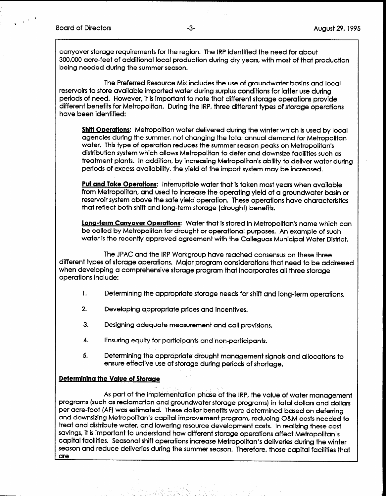,

carryover storage requirements for the region. The IRP identified the need for about 300,000 acre-feet of additional local production during dry years, with most of that production being needed during the summer season.

The Preferred Resource Mix includes the use of groundwater basins and local reservoirs to store available imported water during surplus conditions for latter use during periods of need. However, it is important to note that different storage operations provide different benefits for Metropolitan. During the IRP, three different types of storage operations have been identified:

Shift Operations: Metropolitan water delivered during the winter which is used by local agencies during the summer, not changing the total annual demand for Metropolitan water. This type of operation reduces the summer season peaks on Metropolitan's distribution system which allows Metropolitan to defer and downsize facilities such as treatment plants. In addition, by increasing Metropolitan's ability to deliver water during periods of excess availability, the yield of the import system may be increased.

Put and Take Operations: Interruptible water that is taken most years when available from Metropolitan, and used to increase the operating yield of a groundwater basin or reservoir system above the safe yield operation. These operations have characteristics that reflect both shift and long-term storage (drought) benefits.

Long-term Carrvover Operations: Water that is stored in Metropolitan's name which can be called by Metropolitan for drought or operational purposes. An example of such water is the recently approved agreement with the Calleguas Municipal Water District.

The JPAC and the IRP Workgroup have reached consensus on these three different types of storage operations. Major program considerations that need to be addressed when developing a comprehensive storage program that incorporates all three storage operations include:

- 1. Determining the appropriate storage needs for shift and long-term operations.
- 2. Developing appropriate prices and incentives.
- 3. Designing adequate measurement and call provisions.
- 4. Ensuring equity for participants and non-participants.
- 5. Determining the appropriate drought management signals and allocations to ensure effective use of storage during periods of shortage.

### Determining the Value of Storage

As part of the implementation phase of the IRP, the value of water management programs (such as reclamation and groundwater storage programs) in total dollars and dollars per acre-foot (AF) was estimated. These dollar benefits were determined based on deferring and downsizing Metropolitan's capital improvement program, reducing O&M costs needed to treat and distribute water, and lowering resource development costs. In realizing these cost savings, it is important to understand how different storage operations affect Metropolitan's capital facilities. Seasonal shift operations increase Metropolitan's deliveries during the winter season and reduce deliveries during the summer season. Therefore, those capital facilities that are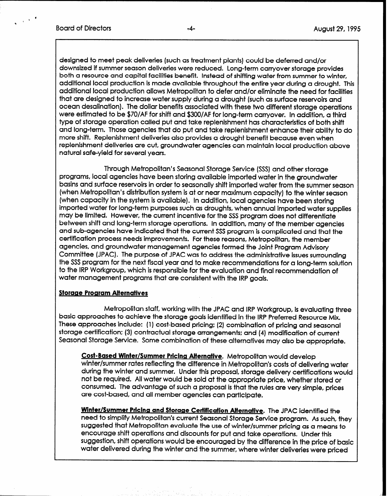$\cdot$  9.99  $^{\circ}$ 

designed to meet peak deliveries (such as treatment plants) could be deferred and/or downsized if summer season deliveries were reduced. Long-term carryover storage provides both a resource and capital facilities benefit. Instead of shifting water from summer to winter, additional local production is made available throughout the entire year during a drought. This additional local production allows Metropolitan to defer and/or eliminate the need for facilities that are designed to increase water supply during a drought (such as surface reservoirs and ocean desalination). The dollar benefits associated with these two different storage operations were estimated to be \$7O/AF for shift and \$3OO/AF for long-term carryover. In addition, a third type of storage operation called put and take replenishment has characteristics of both shift and long-term. Those agencies that do put and take replenishment enhance their ability to do more shift. Replenishment deliveries also provides a drought benefit because even when replenishment deliveries are cut, groundwater agencies can maintain local production above natural safe-yield for several years.

Through Metropolitan's Seasonal Storage Service (SSS) and other storage programs, local agencies have been storing available imported water in the groundwater basins and surface reservoirs in order to seasonally shift imported water from the summer season (when Metropolitan's distribution system is at or near maximum capacity) to the winter season (when capacity in the system is available). In addition, local agencies have been storing imported water for long-term purposes such as droughts, when annual imported water supplies may be limited. However, the current incentive for the SSS program does not differentiate between shift and long-term storage operations. In addition, many of the member agencies and sub-agencies have indicated that the current SSS program is complicated and that the certification process needs improvements. For these reasons, Metropolitan, the member agencies, and groundwater management agencies formed the Joint Program Advisory Committee (JPAC). The purpose of JPAC was to address the administrative issues surrounding the SSS program for the next fiscal year and to make recommendations for a long-term solution to the IRP Workgroup, which is responsible for the evaluation and final recommendation of water management programs that are consistent with the IRP goals.

### Storage Program Alternatives

Metropolitan staff, working with the JPAC and IRP Workgroup, is evaluating three basic approaches to achieve the storage goals identified in the IRP Preferred Resource Mix. These approaches include: (1) cost-based pricing: (2) combination of pricing and seasonal storage certification; (3) contractual storage arrangements: and (4) modification of current Seasonal Storage Service. Some combination of these alternatives may also be appropriate,

Cost-Based Winter/Summer Pricing Alternative. Metropolitan would develop winter/summer rates reflecting the difference in Metropolitan's costs of delivering water during the winter and summer. Under this proposal, storage delivery certifications would not be required. All water would be sold at the appropriate price, whether stored or consumed. The advantage of such a proposal is that the rules are very simple, prices are cost-based, and all member agencies can participate.

Winter/Summer Pricing and Storage Cettitication Alternative. The JPAC identified the need to simplify Metropolitan's current Seasonal Storage Service program. As such, they suggested that Metropolitan evaluate the use of winter/summer pricing as a means to encourage shift operations and discounts for put and take operations. Under this suggestion, shift operations would be encouraged by the difference in the price of basic water delivered during the winter and the summer, where winter deliveries were priced